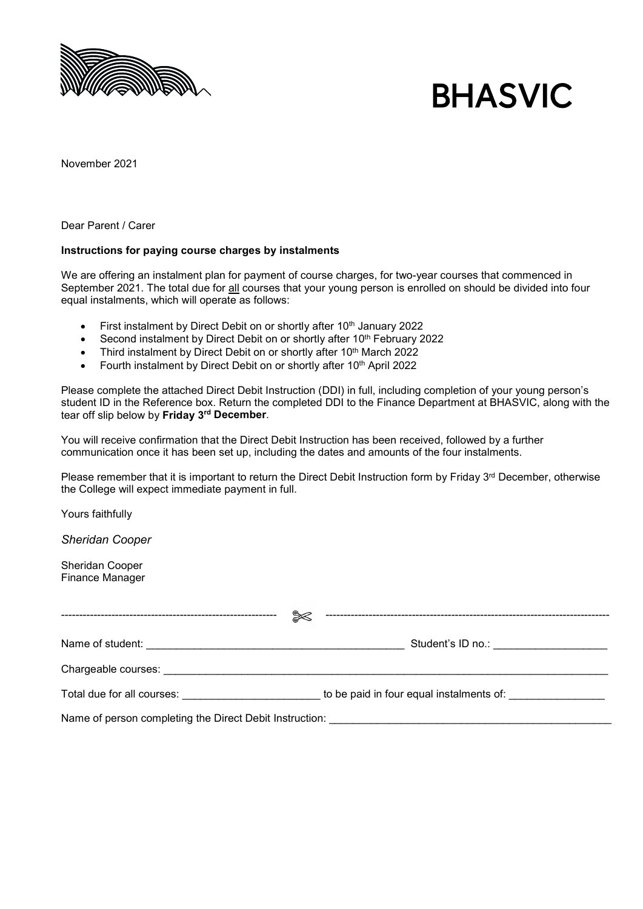

# **BHASVIC**

November 2021

Dear Parent / Carer

#### **Instructions for paying course charges by instalments**

We are offering an instalment plan for payment of course charges, for two-year courses that commenced in September 2021. The total due for all courses that your young person is enrolled on should be divided into four equal instalments, which will operate as follows:

- First instalment by Direct Debit on or shortly after 10<sup>th</sup> January 2022
- Second instalment by Direct Debit on or shortly after 10<sup>th</sup> February 2022
- Third instalment by Direct Debit on or shortly after 10<sup>th</sup> March 2022
- Fourth instalment by Direct Debit on or shortly after 10<sup>th</sup> April 2022

Please complete the attached Direct Debit Instruction (DDI) in full, including completion of your young person's student ID in the Reference box. Return the completed DDI to the Finance Department at BHASVIC, along with the tear off slip below by **Friday 3rd December**.

You will receive confirmation that the Direct Debit Instruction has been received, followed by a further communication once it has been set up, including the dates and amounts of the four instalments.

Please remember that it is important to return the Direct Debit Instruction form by Friday 3<sup>rd</sup> December, otherwise the College will expect immediate payment in full.

Yours faithfully

*Sheridan Cooper*

Sheridan Cooper Finance Manager

| ᢟ                                                                                                                                                                                                                              |                                                                                                                                                                                                                                      |
|--------------------------------------------------------------------------------------------------------------------------------------------------------------------------------------------------------------------------------|--------------------------------------------------------------------------------------------------------------------------------------------------------------------------------------------------------------------------------------|
|                                                                                                                                                                                                                                | Student's ID no.: <b>Contract Contract Contract Contract Contract Contract Contract Contract Contract Contract Contract Contract Contract Contract Contract Contract Contract Contract Contract Contract Contract Contract Contr</b> |
| Chargeable courses: experience of the contract of the contract of the contract of the contract of the contract of the contract of the contract of the contract of the contract of the contract of the contract of the contract |                                                                                                                                                                                                                                      |
| Total due for all courses: Total due for all courses and the matter                                                                                                                                                            | to be paid in four equal instalments of:                                                                                                                                                                                             |
|                                                                                                                                                                                                                                |                                                                                                                                                                                                                                      |